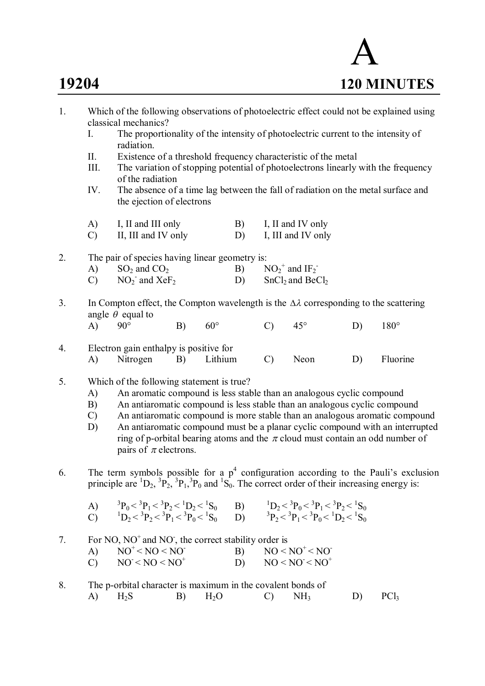```
 A
19204 120 MINUTES
```
- 1. Which of the following observations of photoelectric effect could not be explained using classical mechanics? I. The proportionality of the intensity of photoelectric current to the intensity of radiation. II. Existence of a threshold frequency characteristic of the metal III. The variation of stopping potential of photoelectrons linearly with the frequency of the radiation IV. The absence of a time lag between the fall of radiation on the metal surface and the ejection of electrons A) I, II and III only B) I, II and IV only C) II, III and IV only D) I, III and IV only 2. The pair of species having linear geometry is: A)  $SO_2$  and  $CO_2$  B)  $^+$  and IF<sub>2</sub><sup>-</sup>  $\text{CO}_2$ <sup>-</sup> NO<sub>2</sub><sup>-</sup>  $D)$  SnCl<sub>2</sub> and BeCl<sub>2</sub> 3. In Compton effect, the Compton wavelength is the  $\Delta \lambda$  corresponding to the scattering angle  $\theta$  equal to A) 90° B) 60° C) 45° D) 180° 4. Electron gain enthalpy is positive for A) Nitrogen B) Lithium C) Neon D) Fluorine 5. Which of the following statement is true? A) An aromatic compound is less stable than an analogous cyclic compound B) An antiaromatic compound is less stable than an analogous cyclic compound C) An antiaromatic compound is more stable than an analogous aromatic compound D) An antiaromatic compound must be a planar cyclic compound with an interrupted ring of p-orbital bearing atoms and the  $\pi$  cloud must contain an odd number of pairs of  $\pi$  electrons. 6. The term symbols possible for a  $p^4$  configuration according to the Pauli's exclusion principle are  ${}^{1}D_{2}$ ,  ${}^{3}P_{2}$ ,  ${}^{3}P_{1}$ ,  ${}^{3}P_{0}$  and  ${}^{1}S_{0}$ . The correct order of their increasing energy is:  $\bf{A}$ )  $P_0 < {}^{3}P_1 < {}^{3}P_2 < {}^{1}D_2 < {}^{1}$  $S_0$  B)  ${}^{1}D_2 < {}^{3}P_0 < {}^{3}P_1 < {}^{3}P_2 < {}^{1}S_0$ C)  ${}^{1}D_{2} < {}^{3}P_{2} < {}^{3}P_{1} < {}^{3}P_{0} < {}^{1}S_{0}$  D) <sup>3</sup>  $P_2 < {}^3P_1 < {}^3P_0 < {}^1D_2 < {}^1S_0$ 7. For NO,  $NO<sup>+</sup>$  and NO<sup>-</sup>, the correct stability order is A)  $NO^+ < NO < NO$  B)  $NO < NO^+$  $NO+-$ C)  $NO+$  D)  $NO-$  $NO < NO < NO<sup>+</sup>$
- 8. The p-orbital character is maximum in the covalent bonds of A)  $H_2S$  B)  $H_2O$  C)  $NH_3$  D) PCl<sub>3</sub>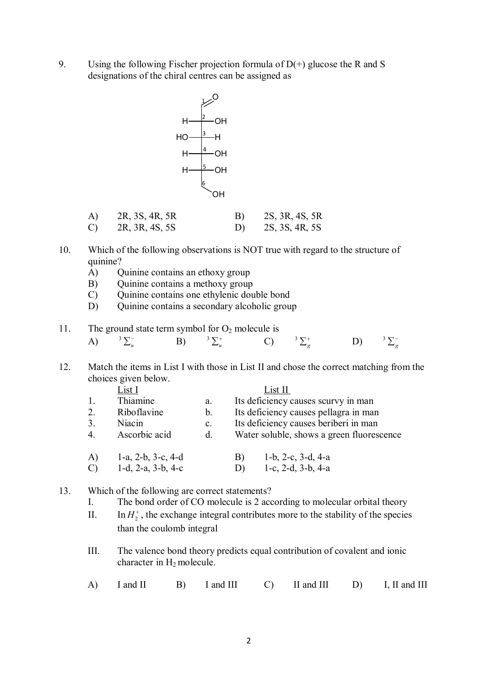9. Using the following Fischer projection formula of  $D(+)$  glucose the R and S designations of the chiral centres can be assigned as



| A) | 2R, 3S, 4R, 5R | B) | 2S, 3R, 4S, 5R |
|----|----------------|----|----------------|
| C) | 2R, 3R, 4S, 5S | D) | 2S, 3S, 4R, 5S |

- 10. Which of the following observations is NOT true with regard to the structure of quinine?
	- A) Quinine contains an ethoxy group
	- B) Quinine contains a methoxy group
	- C) Quinine contains one ethylenic double bond
	- D) Quinine contains a secondary alcoholic group
- 11. The ground state term symbol for  $O_2$  molecule is

| A) ${}^{3}\Sigma_{u}^{-}$ B) ${}^{3}\Sigma_{u}^{+}$ C) ${}^{3}\Sigma_{g}^{+}$ D) ${}^{3}\Sigma_{g}^{-}$ |  |  |  |  |  |  |  |  |
|---------------------------------------------------------------------------------------------------------|--|--|--|--|--|--|--|--|
|---------------------------------------------------------------------------------------------------------|--|--|--|--|--|--|--|--|

12. Match the items in List I with those in List II and chose the correct matching from the choices given below.

|                | List I                     |                | List II                                   |  |  |  |  |  |
|----------------|----------------------------|----------------|-------------------------------------------|--|--|--|--|--|
|                | Thiamine                   | a.             | Its deficiency causes scurvy in man       |  |  |  |  |  |
| 2.             | Riboflavine                | b.             | Its deficiency causes pellagra in man     |  |  |  |  |  |
| 3.             | Niacin                     | $\mathbf{c}$ . | Its deficiency causes beriberi in man     |  |  |  |  |  |
| $\overline{4}$ | Ascorbic acid              | d.             | Water soluble, shows a green fluorescence |  |  |  |  |  |
| A)             | 1-a, 2-b, $3-c$ , 4-d      |                | 1-b, 2-c, 3-d, 4-a<br>B)                  |  |  |  |  |  |
| $\mathcal{C}$  | 1-d, $2-a$ , $3-b$ , $4-c$ |                | 1-c, $2-d$ , $3-b$ , $4-a$<br>D)          |  |  |  |  |  |

- 13. Which of the following are correct statements?
	- I. The bond order of CO molecule is 2 according to molecular orbital theory
	- II. In  $H_2^+$ , the exchange integral contributes more to the stability of the species than the coulomb integral
	- III. The valence bond theory predicts equal contribution of covalent and ionic character in H2 molecule.
	- A) I and II B) I and III C) II and III D) I, II and III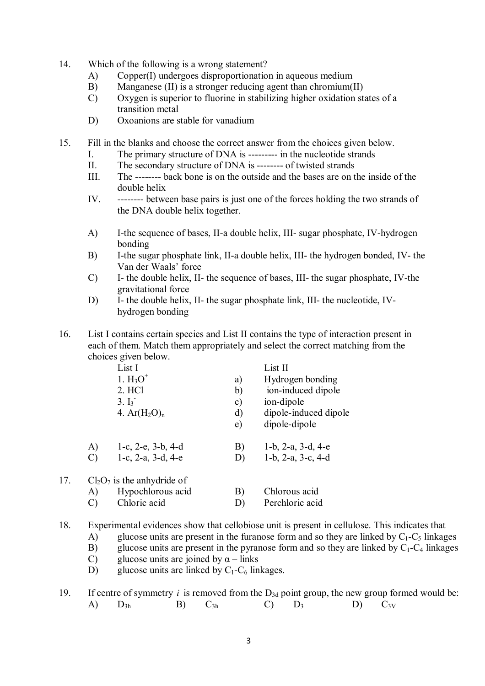- 14. Which of the following is a wrong statement?
	- A) Copper(I) undergoes disproportionation in aqueous medium
	- B) Manganese (II) is a stronger reducing agent than chromium(II)
	- C) Oxygen is superior to fluorine in stabilizing higher oxidation states of a transition metal
	- D) Oxoanions are stable for vanadium
- 15. Fill in the blanks and choose the correct answer from the choices given below.
	- I. The primary structure of DNA is --------- in the nucleotide strands
	- II. The secondary structure of DNA is -------- of twisted strands
	- III. The -------- back bone is on the outside and the bases are on the inside of the double helix
	- IV. -------- between base pairs is just one of the forces holding the two strands of the DNA double helix together.
	- A) I-the sequence of bases, II-a double helix, III- sugar phosphate, IV-hydrogen bonding
	- B) I-the sugar phosphate link, II-a double helix, III- the hydrogen bonded, IV- the Van der Waals' force
	- C) I- the double helix, II- the sequence of bases, III- the sugar phosphate, IV-the gravitational force
	- D) I- the double helix, II- the sugar phosphate link, III- the nucleotide, IVhydrogen bonding
- 16. List I contains certain species and List II contains the type of interaction present in each of them. Match them appropriately and select the correct matching from the choices given below.

|     |               | <u>List I</u>               |               | List II                       |
|-----|---------------|-----------------------------|---------------|-------------------------------|
|     |               | 1. $H_3O^+$                 | a)            | Hydrogen bonding              |
|     |               | 2. HCl                      | b)            | ion-induced dipole            |
|     |               | $3. I_3$ <sup>-</sup>       | $\mathbf{c})$ | ion-dipole                    |
|     |               | 4. $Ar(H_2O)_n$             | d)            | dipole-induced dipole         |
|     |               |                             | e)            | dipole-dipole                 |
|     | A)            | 1-c, $2-e$ , $3-b$ , $4-d$  | B)            | 1-b, $2-a$ , $3-d$ , $4-e$    |
|     | $\mathcal{C}$ | 1-c, $2-a$ , $3-d$ , $4-e$  | D)            | $1-b$ , $2-a$ , $3-c$ , $4-d$ |
| 17. |               | $Cl2O7$ is the anhydride of |               |                               |
|     | A)            | Hypochlorous acid           | B)            | Chlorous acid                 |
|     | $\mathcal{C}$ | Chloric acid                | D)            | Perchloric acid               |

18. Experimental evidences show that cellobiose unit is present in cellulose. This indicates that

- A) glucose units are present in the furanose form and so they are linked by  $C_1-C_5$  linkages
- B) glucose units are present in the pyranose form and so they are linked by  $C_1-C_4$  linkages glucose units are ioined by  $\alpha$  links
- glucose units are joined by  $\alpha$  links
- D) glucose units are linked by  $C_1$ - $C_6$  linkages.
- 19. If centre of symmetry *i* is removed from the  $D_{3d}$  point group, the new group formed would be: A)  $D_{3h}$  B)  $C_{3h}$  C)  $D_3$  D)  $C_{3V}$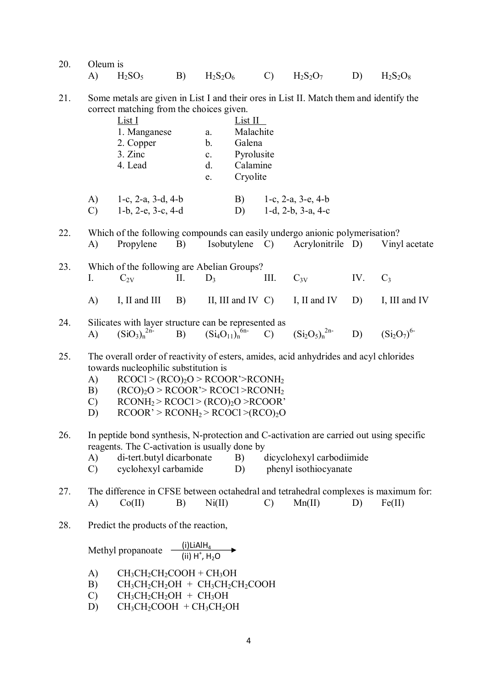| 20. Oleum is |  |                                                           |  |  |
|--------------|--|-----------------------------------------------------------|--|--|
|              |  | A) $H_2SO_5$ B) $H_2S_2O_6$ C) $H_2S_2O_7$ D) $H_2S_2O_8$ |  |  |

21. Some metals are given in List I and their ores in List II. Match them and identify the correct matching from the choices given.

|               | List I                        |                | List II  |                               |
|---------------|-------------------------------|----------------|----------|-------------------------------|
|               | 1. Manganese                  | a.             |          | Malachite                     |
|               | 2. Copper                     | b.             | Galena   |                               |
|               | 3. Zinc                       | $\mathbf{c}$ . |          | Pyrolusite                    |
|               | 4. Lead                       | d.             | Calamine |                               |
|               |                               | e.             | Cryolite |                               |
| A)            | 1-c, $2-a$ , $3-d$ , $4-b$    |                | B)       | 1-c, $2-a$ , $3-e$ , $4-b$    |
| $\mathcal{C}$ | $1-b$ , $2-e$ , $3-c$ , $4-d$ |                | D)       | $1-d$ , $2-b$ , $3-a$ , $4-c$ |

22. Which of the following compounds can easily undergo anionic polymerisation? A) Propylene B) Isobutylene C) Acrylonitrile D) Vinyl acetate

- 23. Which of the following are Abelian Groups? I.  $C_{2V}$  II.  $D_3$  III.  $C_{3V}$  IV.  $C_3$ A) I, II and III B) II, III and IV C) I, II and IV D) I, III and IV
- 24. Silicates with layer structure can be represented as A)  $(SiO_3)_n^{2n-1}$ B)  $(Si_4O_{11})_n^{6n-1}$ C)  $(Si_2O_5)_n^{2n-1}$ <sup>2n-</sup> D)  $(Si_2O_7)^{6-}$
- 25. The overall order of reactivity of esters, amides, acid anhydrides and acyl chlorides towards nucleophilic substitution is
	- A)  $RCOCI > (RCO)_2O > RCOOR > RCONH_2$
	- B)  $(RCO)_2O > RCOOR > RCOCl > RCONH_2$
	- C)  $RCONH_2 > RCOCl > (RCO)_2O > RCOOR'$
	- D)  $RCOOR' > RCONH<sub>2</sub> > RCOCl > (RCO)<sub>2</sub>O$
- 26. In peptide bond synthesis, N-protection and C-activation are carried out using specific reagents. The C-activation is usually done by
	- A) di-tert.butyl dicarbonate B) dicyclohexyl carbodiimide
	- C) cyclohexyl carbamide D) phenyl isothiocyanate
- 27. The difference in CFSE between octahedral and tetrahedral complexes is maximum for: A)  $Co(II)$  B)  $Ni(II)$  C)  $Mn(II)$  D) Fe(II)
- 28. Predict the products of the reaction,

Methyl propanoate (i)LiAlH<sup>4</sup>  $(ii)$  H<sup>+</sup>, H<sub>2</sub>O

- A)  $CH_3CH_2CHOOH + CH_3OH$
- B)  $CH_3CH_2CH_2OH + CH_3CH_2CH_2COOH$
- $CH<sub>3</sub>CH<sub>2</sub>CH<sub>2</sub>OH + CH<sub>3</sub>OH$
- D)  $CH_3CH_2COOH + CH_3CH_2OH$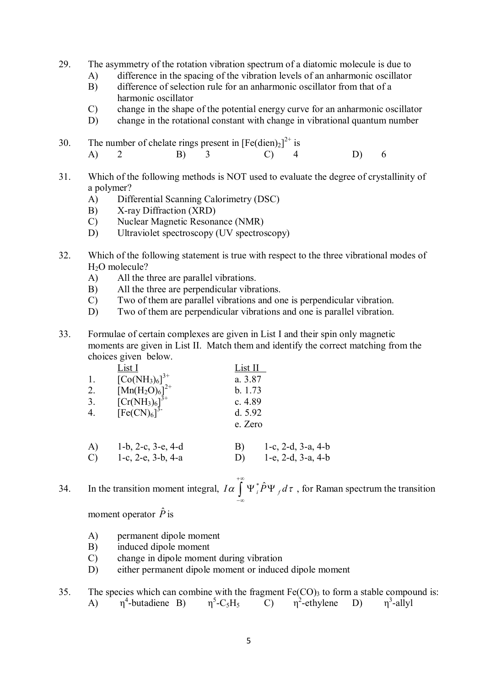- 29. The asymmetry of the rotation vibration spectrum of a diatomic molecule is due to
	- A) difference in the spacing of the vibration levels of an anharmonic oscillator
	- B) difference of selection rule for an anharmonic oscillator from that of a harmonic oscillator
	- C) change in the shape of the potential energy curve for an anharmonic oscillator
	- D) change in the rotational constant with change in vibrational quantum number
- 30. The number of chelate rings present in  $[Fe(dien)_2]^{2+}$  is A) 2 B) 3 C) 4 D) 6
- 31. Which of the following methods is NOT used to evaluate the degree of crystallinity of a polymer?
	- A) Differential Scanning Calorimetry (DSC)
	- B) X-ray Diffraction (XRD)
	- C) Nuclear Magnetic Resonance (NMR)
	- D) Ultraviolet spectroscopy (UV spectroscopy)
- 32. Which of the following statement is true with respect to the three vibrational modes of H<sub>2</sub>O molecule?
	- A) All the three are parallel vibrations.
	- B) All the three are perpendicular vibrations.
	- C) Two of them are parallel vibrations and one is perpendicular vibration.
	- D) Two of them are perpendicular vibrations and one is parallel vibration.
- 33. Formulae of certain complexes are given in List I and their spin only magnetic moments are given in List II. Match them and identify the correct matching from the choices given below.

|    | <u>List I</u>                                          | List II |                            |
|----|--------------------------------------------------------|---------|----------------------------|
| 1. | $[Co(NH_3)_6]^{3+}$                                    | a. 3.87 |                            |
| 2. | $[Mn(H_2O)_6]^{2+}$                                    | b. 1.73 |                            |
| 3. |                                                        | c. 4.89 |                            |
| 4. | $[Cr(NH3)6]3+$<br>[Fe(CN) <sub>6</sub> ] <sup>3-</sup> | d. 5.92 |                            |
|    |                                                        | e. Zero |                            |
|    |                                                        |         |                            |
| A) | $1-b$ , $2-c$ , $3-e$ , $4-d$                          | B)      | 1-c, 2-d, 3-a, 4-b         |
| C) | $1-c$ , $2-e$ , $3-b$ , $4-a$                          | D)      | 1-e, $2-d$ , $3-a$ , $4-b$ |

34. In the transition moment integral,  $I\alpha \int \Psi_i^* \hat{P} \Psi_f d\tau$ ,  $+\infty$  $\int_{-\infty} \Psi_i^* P \Psi_f d\tau$ , for Raman spectrum the transition

moment operator  $\hat{P}$  is

- A) permanent dipole moment
- B) induced dipole moment
- C) change in dipole moment during vibration
- D) either permanent dipole moment or induced dipole moment
- 35. The species which can combine with the fragment  $Fe(CO)_3$  to form a stable compound is: A)  $\eta^4$ -butadiene B)  $\eta^5$ -C<sub>5</sub>H<sub>5</sub> C)  $\eta^2$ -ethylene D)  $\eta^3$ -allyl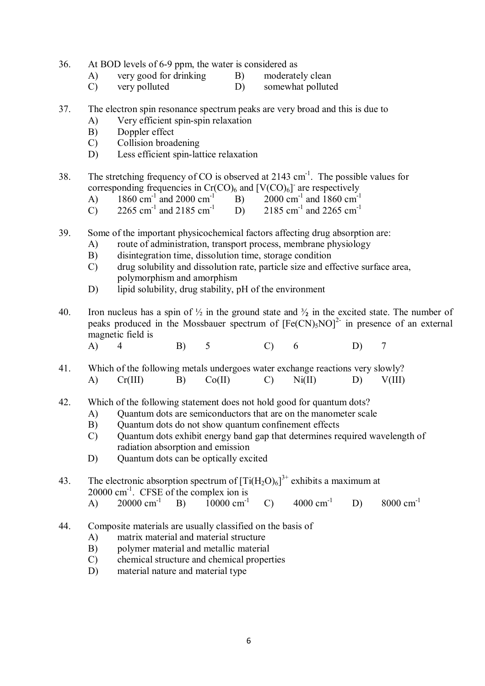- 36. At BOD levels of 6-9 ppm, the water is considered as
	- A) very good for drinking B) moderately clean
		-
	- C) very polluted D) somewhat polluted
- 37. The electron spin resonance spectrum peaks are very broad and this is due to
	- A) Very efficient spin-spin relaxation
	- B) Doppler effect
	- C) Collision broadening
	- D) Less efficient spin-lattice relaxation
- 38. The stretching frequency of CO is observed at 2143  $\text{cm}^{-1}$ . The possible values for corresponding frequencies in  $Cr(CO)_6$  and  $[V(CO)_6]$  are respectively
	- A) 1860 cm<sup>-1</sup> and 2000 cm<sup>-1</sup> B) 2000 cm<sup>-1</sup>  $2000 \text{ cm}^{-1}$  and 1860 cm<sup>-1</sup>
	- C) 2265 cm<sup>-1</sup> and 2185 cm<sup>-1</sup> D) 2185 cm<sup>-1</sup> 2185 cm<sup>-1</sup> and 2265 cm<sup>-1</sup>
- 39. Some of the important physicochemical factors affecting drug absorption are:
	- A) route of administration, transport process, membrane physiology
	- B) disintegration time, dissolution time, storage condition
	- C) drug solubility and dissolution rate, particle size and effective surface area, polymorphism and amorphism
	- D) lipid solubility, drug stability, pH of the environment
- 40. Iron nucleus has a spin of  $\frac{1}{2}$  in the ground state and  $\frac{3}{2}$  in the excited state. The number of peaks produced in the Mossbauer spectrum of  $[Fe(CN)_5NO]^2$  in presence of an external magnetic field is
	- A) 4 B) 5 C) 6 D) 7
- 41. Which of the following metals undergoes water exchange reactions very slowly? A) Cr(III) B) Co(II) C) Ni(II) D) V(III)
- 42. Which of the following statement does not hold good for quantum dots?
	- A) Quantum dots are semiconductors that are on the manometer scale<br>B) Quantum dots do not show quantum confinement effects
	- B) Quantum dots do not show quantum confinement effects
	- C) Quantum dots exhibit energy band gap that determines required wavelength of radiation absorption and emission
	- D) Quantum dots can be optically excited

43. The electronic absorption spectrum of  $[Ti(H_2O)_6]^{3+}$  exhibits a maximum at  $20000 \text{ cm}^{-1}$ . CFSE of the complex ion is

- A)  $20000 \text{ cm}^{-1}$  B)  $10000 \text{ cm}^{-1}$  C)  $4000 \text{ cm}^{-1}$  D)  $8000 \text{ cm}^{-1}$
- 44. Composite materials are usually classified on the basis of
	- A) matrix material and material structure
	- B) polymer material and metallic material
	- C) chemical structure and chemical properties
	- D) material nature and material type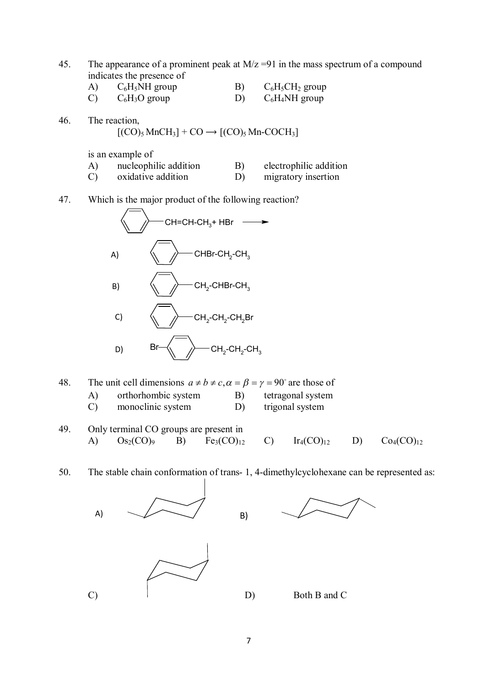- 45. The appearance of a prominent peak at  $M/z = 91$  in the mass spectrum of a compound indicates the presence of
	- A)  $C_6H_5NH$  group B)  $C_6H_5CH_2$  group<br>
	C)  $C_6H_3O$  group D)  $C_6H_4NH$  group
		- $C_6H_3O$  group D)  $C_6H_4NH$  group
- 46. The reaction,

$$
[(CO)_5 MnCH_3] + CO \longrightarrow [(CO)_5 Mn\text{-}COCH_3]
$$

is an example of

- A) nucleophilic addition B) electrophilic addition C) oxidative addition D) migratory insertion
- 47. Which is the major product of the following reaction?



- 48. The unit cell dimensions  $a \neq b \neq c, \alpha = \beta = \gamma = 90^{\circ}$  are those of
	- A) orthorhombic system B) tetragonal system<br>
	C) monoclinic system D) trigonal system monoclinic system  $D$ )
- 49. Only terminal CO groups are present in A)  $Os_2(CO)_{9}$  B)  $Fe_3(CO)_{12}$  C)  $Ir_4(CO)_{12}$  D)  $Co_4(CO)_{12}$

50. The stable chain conformation of trans- 1, 4-dimethylcyclohexane can be represented as:

 B) C) D) Both B and C A)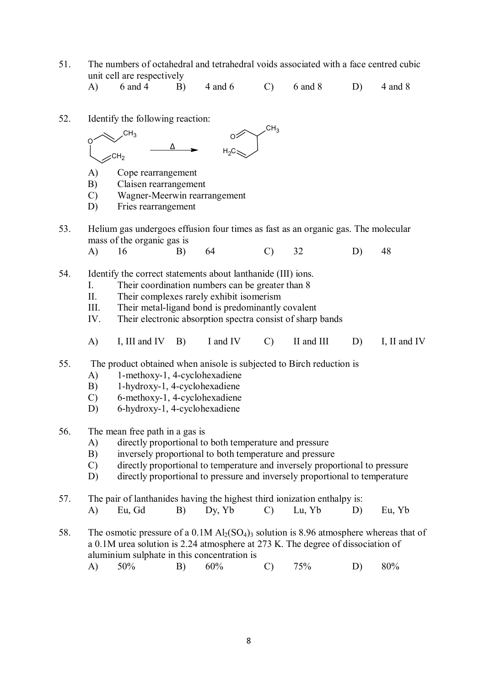51. The numbers of octahedral and tetrahedral voids associated with a face centred cubic unit cell are respectively<br>A)  $6 \text{ and } 4$  B)

A) 6 and 4 B) 4 and 6 C) 6 and 8 D) 4 and 8

52. Identify the following reaction:



- A) Cope rearrangement
- B) Claisen rearrangement
- C) Wagner-Meerwin rearrangement
- D) Fries rearrangement
- 53. Helium gas undergoes effusion four times as fast as an organic gas. The molecular mass of the organic gas is
	- A) 16 B) 64 C) 32 D) 48
- 54. Identify the correct statements about lanthanide (III) ions.
	- I. Their coordination numbers can be greater than 8<br>II. Their complexes rarely exhibit isomerism
	- Their complexes rarely exhibit isomerism
	- III. Their metal-ligand bond is predominantly covalent
	- IV. Their electronic absorption spectra consist of sharp bands
	- A) I, III and IV B) I and IV C) II and III D) I, II and IV
- 55. The product obtained when anisole is subjected to Birch reduction is
	- A) 1-methoxy-1, 4-cyclohexadiene
	- B) 1-hydroxy-1, 4-cyclohexadiene
	- C) 6-methoxy-1, 4-cyclohexadiene
	- D) 6-hydroxy-1, 4-cyclohexadiene
- 56. The mean free path in a gas is
	- A) directly proportional to both temperature and pressure
	- B) inversely proportional to both temperature and pressure
	- C) directly proportional to temperature and inversely proportional to pressure
	- D) directly proportional to pressure and inversely proportional to temperature
- 57. The pair of lanthanides having the highest third ionization enthalpy is:
	- A) Eu, Gd B) Dy, Yb C) Lu, Yb D) Eu, Yb
- 58. The osmotic pressure of a 0.1M  $\text{Al}_2(\text{SO}_4)$ <sub>3</sub> solution is 8.96 atmosphere whereas that of a 0.1M urea solution is 2.24 atmosphere at 273 K. The degree of dissociation of aluminium sulphate in this concentration is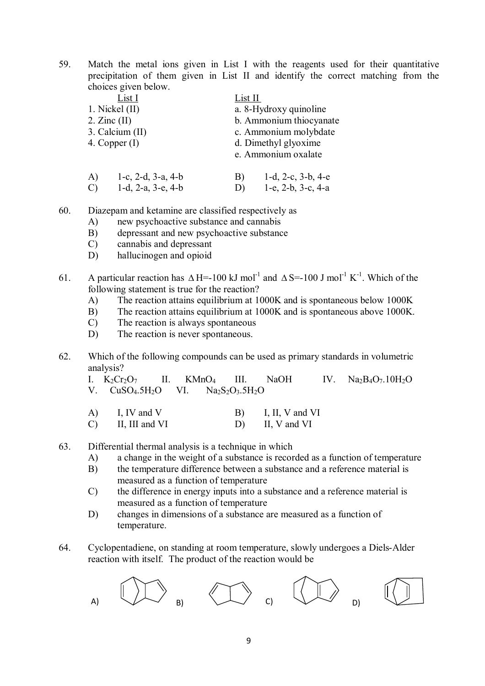59. Match the metal ions given in List I with the reagents used for their quantitative precipitation of them given in List II and identify the correct matching from the choices given below.

|                  | List I                        |    | List II                    |  |  |  |  |
|------------------|-------------------------------|----|----------------------------|--|--|--|--|
| 1. Nickel $(II)$ |                               |    | a. 8-Hydroxy quinoline     |  |  |  |  |
| $2.$ Zinc $(II)$ |                               |    | b. Ammonium thiocyanate    |  |  |  |  |
|                  | 3. Calcium (II)               |    | c. Ammonium molybdate      |  |  |  |  |
| 4. Copper $(I)$  |                               |    | d. Dimethyl glyoxime       |  |  |  |  |
|                  |                               |    | e. Ammonium oxalate        |  |  |  |  |
| A)               | 1-c, 2-d, $3-a$ , $4-b$       | B) | 1-d, 2-c, $3-b$ , $4-e$    |  |  |  |  |
| $\mathcal{C}$    | $1-d$ , $2-a$ , $3-e$ , $4-b$ | D) | 1-e, $2-b$ , $3-c$ , $4-a$ |  |  |  |  |

60. Diazepam and ketamine are classified respectively as

- A) new psychoactive substance and cannabis<br>B) depressant and new psychoactive substance
- depressant and new psychoactive substance
- C) cannabis and depressant
- D) hallucinogen and opioid
- 61. A particular reaction has  $\Delta H = -100 \text{ kJ} \text{ mol}^{-1}$  and  $\Delta S = -100 \text{ J} \text{ mol}^{-1} \text{ K}^{-1}$ . Which of the following statement is true for the reaction?
	- A) The reaction attains equilibrium at 1000K and is spontaneous below 1000K
	- B) The reaction attains equilibrium at 1000K and is spontaneous above 1000K.
	- C) The reaction is always spontaneous
	- D) The reaction is never spontaneous.
- 62. Which of the following compounds can be used as primary standards in volumetric analysis?<br>I.  $K_2Cr_2O_7$

II. KMnO<sub>4</sub> III. NaOH IV. Na<sub>2</sub>B<sub>4</sub>O<sub>7</sub>.10H<sub>2</sub>O<br>
VI. Na<sub>2</sub>S<sub>2</sub>O<sub>3</sub>.5H<sub>2</sub>O V.  $CuSO<sub>4</sub>.5H<sub>2</sub>O$  VI.

- A) I, IV and V B) I, II, V and VI C) II, III and VI D) II, V and VI
- 63. Differential thermal analysis is a technique in which
	- A) a change in the weight of a substance is recorded as a function of temperature
	- B) the temperature difference between a substance and a reference material is measured as a function of temperature
	- C) the difference in energy inputs into a substance and a reference material is measured as a function of temperature
	- D) changes in dimensions of a substance are measured as a function of temperature.
- 64. Cyclopentadiene, on standing at room temperature, slowly undergoes a Diels-Alder reaction with itself. The product of the reaction would be

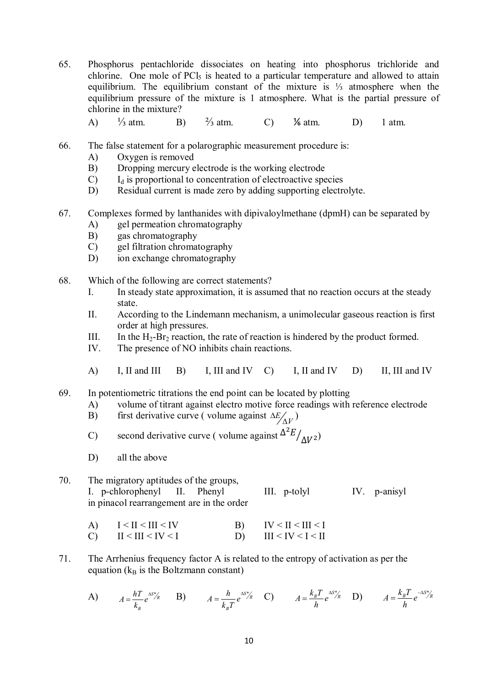- 65. Phosphorus pentachloride dissociates on heating into phosphorus trichloride and chlorine. One mole of PCl<sub>5</sub> is heated to a particular temperature and allowed to attain equilibrium. The equilibrium constant of the mixture is ⅓ atmosphere when the equilibrium pressure of the mixture is 1 atmosphere. What is the partial pressure of chlorine in the mixture?
	- A) <sup>1</sup>/<sub>3</sub> atm. B) <sup>2</sup>/<sub>3</sub> atm. C) <sup>1</sup>/<sub>6</sub> atm. D) 1 atm.
- 66. The false statement for a polarographic measurement procedure is:
	- A) Oxygen is removed
	- B) Dropping mercury electrode is the working electrode
	- $C$  I<sub>d</sub> is proportional to concentration of electroactive species
	- D) Residual current is made zero by adding supporting electrolyte.
- 67. Complexes formed by lanthanides with dipivaloylmethane (dpmH) can be separated by
	- A) gel permeation chromatography
	- B) gas chromatography
	- C) gel filtration chromatography
	- D) ion exchange chromatography
- 68. Which of the following are correct statements?
	- I. In steady state approximation, it is assumed that no reaction occurs at the steady state.
	- II. According to the Lindemann mechanism, a unimolecular gaseous reaction is first order at high pressures.
	- III. In the  $H_2$ -Br<sub>2</sub> reaction, the rate of reaction is hindered by the product formed.
	- IV. The presence of NO inhibits chain reactions.
	- A) I, II and III B) I, III and IV C) I, II and IV D) II, III and IV
- 69. In potentiometric titrations the end point can be located by plotting
	- A) volume of titrant against electro motive force readings with reference electrode
	- B) first derivative curve (volume against  $\Delta E_{\Delta V}$ )
	- C) second derivative curve (volume against  $\frac{\Delta^2 E}{\Delta V^2}$ )
	- D) all the above

## 70. The migratory aptitudes of the groups, I. p-chlorophenyl II. Phenyl III. p-tolyl IV. p-anisyl in pinacol rearrangement are in the order

- A)  $I < II < III < IV$  B)  $IV < II < III < I$ C)  $II \leq III \leq IV \leq I$  D)  $III \leq IV \leq I \leq II$
- 71. The Arrhenius frequency factor A is related to the entropy of activation as per the equation  $(k_B \text{ is the Boltzmann constant})$

A) 
$$
A = \frac{hT}{k_B} e^{\Delta s} / k
$$
 B) 
$$
A = \frac{h}{k_B T} e^{\Delta s} / k
$$
 C) 
$$
A = \frac{k_B T}{h} e^{\Delta s} / k
$$
 D) 
$$
A = \frac{k_B T}{h} e^{-\Delta s} / k
$$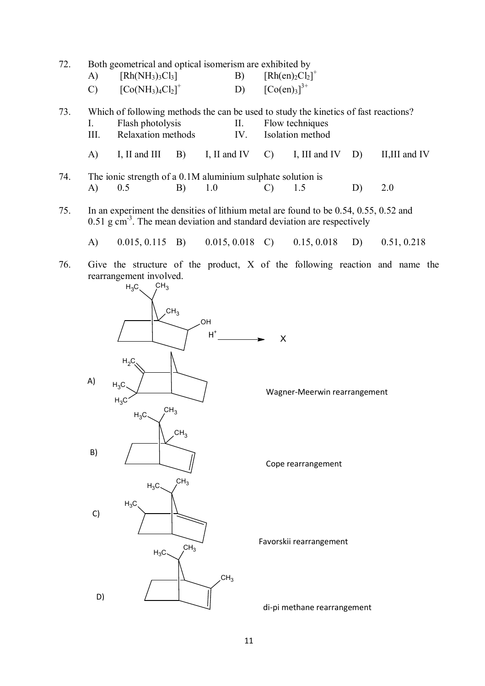| 72. | A)            | Both geometrical and optical isomerism are exhibited by<br>$[Rh(NH_3)_3Cl_3]$                                                                                                          |                                                       |                       | B)         | $[Rh(en)_2Cl_2]^+$   |                                                      |    |                |  |
|-----|---------------|----------------------------------------------------------------------------------------------------------------------------------------------------------------------------------------|-------------------------------------------------------|-----------------------|------------|----------------------|------------------------------------------------------|----|----------------|--|
|     | $\mathcal{C}$ | $[Co(NH3)4Cl2]+$                                                                                                                                                                       |                                                       |                       |            | D) $[Co(en)_3]^{3+}$ |                                                      |    |                |  |
| 73. | I.<br>III.    | Which of following methods the can be used to study the kinetics of fast reactions?<br>Flash photolysis<br>Relaxation methods                                                          |                                                       |                       | II.<br>IV. |                      | Flow techniques<br>Isolation method                  |    |                |  |
|     | A)            | I, II and III                                                                                                                                                                          |                                                       |                       |            | $B)$ I, II and IV C) | I, III and IV $D$ )                                  |    | II, III and IV |  |
| 74. | A)            | The ionic strength of a 0.1M aluminium sulphate solution is<br>0.5                                                                                                                     | B)                                                    | 1.0                   |            | $\mathcal{C}$        | 1.5                                                  | D) | 2.0            |  |
| 75. |               | In an experiment the densities of lithium metal are found to be $0.54$ , $0.55$ , $0.52$ and<br>$0.51$ g cm <sup>-3</sup> . The mean deviation and standard deviation are respectively |                                                       |                       |            |                      |                                                      |    |                |  |
|     | $\mathbf{A}$  |                                                                                                                                                                                        |                                                       |                       |            |                      | $0.015, 0.115$ B) $0.015, 0.018$ C) $0.15, 0.018$ D) |    | 0.51, 0.218    |  |
| 76. | A)            | Give the structure of the product, X of the following reaction and name the<br>rearrangement involved.<br>CH <sub>3</sub><br>$H_3C$<br>$H_2C$<br>$H_3C$ .<br>$H_3C$                    | CH <sub>3</sub>                                       | HO.<br>$\mathsf{H}^*$ |            | X                    | Wagner-Meerwin rearrangement                         |    |                |  |
|     | B)<br>C)      | CH <sub>3</sub><br>$H_3C$<br>$H_3C$<br>$H_3C$<br>$H_3C$                                                                                                                                | CH <sub>3</sub><br>CH <sub>3</sub><br>CH <sub>3</sub> | CH <sub>3</sub>       |            |                      | Cope rearrangement<br>Favorskii rearrangement        |    |                |  |
|     | D)            |                                                                                                                                                                                        |                                                       |                       |            |                      | di-pi methane rearrangement                          |    |                |  |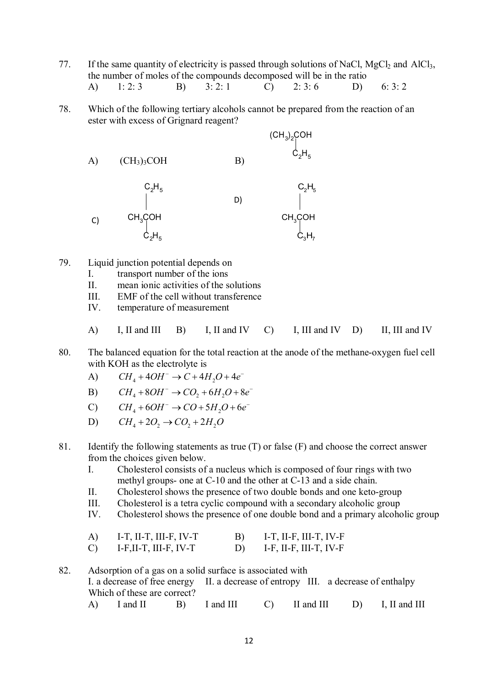- 77. If the same quantity of electricity is passed through solutions of NaCl,  $MgCl<sub>2</sub>$  and AlCl<sub>3</sub>, the number of moles of the compounds decomposed will be in the ratio A) 1: 2: 3 B) 3: 2: 1 C) 2: 3: 6 D) 6: 3: 2
- 78. Which of the following tertiary alcohols cannot be prepared from the reaction of an ester with excess of Grignard reagent?

A) (CH3)3COH B) (CH<sup>3</sup> ) <sup>2</sup>COH C2H<sup>5</sup> CH3COH C2H<sup>5</sup> C2H<sup>5</sup> CH3COH C3H<sup>7</sup> C2H<sup>5</sup> C) D)

- 79. Liquid junction potential depends on
	- I. transport number of the ions
	- II. mean ionic activities of the solutions
	- III. EMF of the cell without transference
	- IV. temperature of measurement
	- A) I, II and III B) I, II and IV C) I, III and IV D) II, III and IV
- 80. The balanced equation for the total reaction at the anode of the methane-oxygen fuel cell with KOH as the electrolyte is
	- A)  $CH_4 + 4OH^- \rightarrow C + 4H_2O + 4e^-$
	- B)  $CH_4 + 8OH^- \rightarrow CO_2 + 6H_2O + 8e^-$
	- C)  $CH<sub>A</sub> + 6OH<sup>-</sup> \rightarrow CO + 5H<sub>2</sub>O + 6e<sup>-</sup>$
	- D)  $CH<sub>4</sub> + 2O<sub>2</sub> \rightarrow CO<sub>3</sub> + 2H<sub>2</sub>O$
- 81. Identify the following statements as true (T) or false (F) and choose the correct answer from the choices given below.
	- I. Cholesterol consists of a nucleus which is composed of four rings with two methyl groups- one at C-10 and the other at C-13 and a side chain.
	- II. Cholesterol shows the presence of two double bonds and one keto-group
	- III. Cholesterol is a tetra cyclic compound with a secondary alcoholic group
	- IV. Cholesterol shows the presence of one double bond and a primary alcoholic group

| A) | I-T, II-T, III-F, IV-T | B) | I-T, II-F, III-T, IV-F |
|----|------------------------|----|------------------------|
| C) | I-F, II-T, III-F, IV-T |    | I-F, II-F, III-T, IV-F |

82. Adsorption of a gas on a solid surface is associated with I. a decrease of free energy II. a decrease of entropy III. a decrease of enthalpy Which of these are correct? A) I and II B) I and III C) II and III D) I, II and III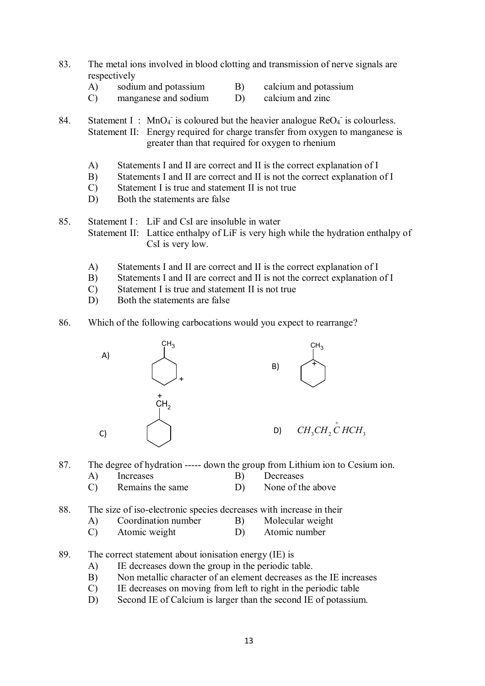- 83. The metal ions involved in blood clotting and transmission of nerve signals are respectively
	- A) sodium and potassium B) calcium and potassium
	- C) manganese and sodium D) calcium and zinc

84. Statement I: MnO<sub>4</sub> is coloured but the heavier analogue  $\text{ReO}_4$  is colourless. Statement II: Energy required for charge transfer from oxygen to manganese is greater than that required for oxygen to rhenium

- A) Statements I and II are correct and II is the correct explanation of I
- B) Statements I and II are correct and II is not the correct explanation of I
- C) Statement I is true and statement II is not true
- D) Both the statements are false

85. Statement I: LiF and CsI are insoluble in water Statement II: Lattice enthalpy of LiF is very high while the hydration enthalpy of CsI is very low.

- A) Statements I and II are correct and II is the correct explanation of I
- B) Statements I and II are correct and II is not the correct explanation of I
- C) Statement I is true and statement II is not true
- D) Both the statements are false
- 86. Which of the following carbocations would you expect to rearrange?



- 87. The degree of hydration ----- down the group from Lithium ion to Cesium ion.
	- A) Increases B) Decreases
	- C) Remains the same D) None of the above
- 88. The size of iso-electronic species decreases with increase in their
	- A) Coordination number B) Molecular weight
	- C) Atomic weight D) Atomic number
- 89. The correct statement about ionisation energy (IE) is
	- A) IE decreases down the group in the periodic table.
	- B) Non metallic character of an element decreases as the IE increases
	- C) IE decreases on moving from left to right in the periodic table
	- D) Second IE of Calcium is larger than the second IE of potassium.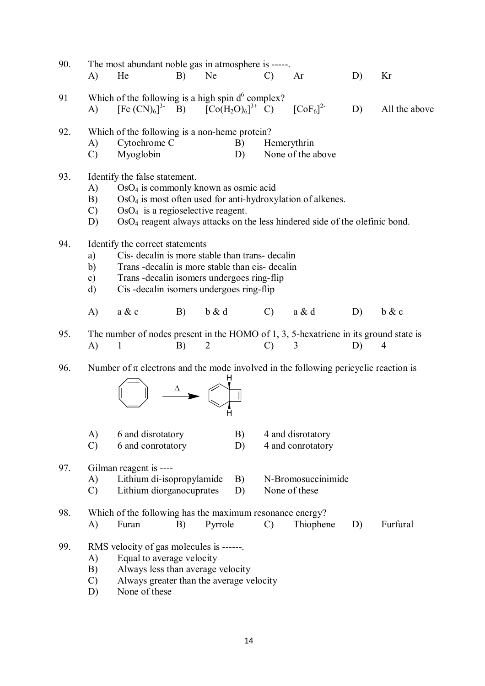| 90. | A)                              | The most abundant noble gas in atmosphere is -----.<br>He                                                                                                                                                                                                                           | B) | <b>Ne</b>      |          | $\mathcal{C}$ | Ar                                     | D) | Kr             |  |
|-----|---------------------------------|-------------------------------------------------------------------------------------------------------------------------------------------------------------------------------------------------------------------------------------------------------------------------------------|----|----------------|----------|---------------|----------------------------------------|----|----------------|--|
| 91  | A)                              | Which of the following is a high spin $d^6$ complex?<br>$[Fe (CN)6]3$ B) $[Co (H2O)6]3+ C) [Co F6]2$                                                                                                                                                                                |    |                |          |               |                                        | D) | All the above  |  |
| 92. | A)<br>$\mathcal{C}$             | Which of the following is a non-heme protein?<br>Cytochrome C<br>Myoglobin                                                                                                                                                                                                          |    |                | B)<br>D) | Hemerythrin   | None of the above                      |    |                |  |
| 93. | A)<br>B)<br>$\mathcal{C}$<br>D) | Identify the false statement.<br>OsO <sub>4</sub> is commonly known as osmic acid<br>$OsO4$ is most often used for anti-hydroxylation of alkenes.<br>$OsO4$ is a regioselective reagent.<br>OsO <sub>4</sub> reagent always attacks on the less hindered side of the olefinic bond. |    |                |          |               |                                        |    |                |  |
| 94. | a)<br>b)<br>$\mathbf{c})$<br>d) | Identify the correct statements<br>Cis- decalin is more stable than trans- decalin<br>Trans - decalin is more stable than cis-decalin<br>Trans-decalin isomers undergoes ring-flip<br>Cis-decalin isomers undergoes ring-flip                                                       |    |                |          |               |                                        |    |                |  |
|     | $\bf{A}$                        | a & c                                                                                                                                                                                                                                                                               | B) | b & d          |          | $\mathcal{C}$ | a & d                                  | D) | b & c          |  |
| 95. | A)                              | The number of nodes present in the HOMO of 1, 3, 5-hexatriene in its ground state is<br>$\mathbf{1}$                                                                                                                                                                                | B) | $\overline{2}$ |          | $\mathcal{C}$ | 3                                      | D) | $\overline{4}$ |  |
| 96. |                                 | Number of $\pi$ electrons and the mode involved in the following pericyclic reaction is                                                                                                                                                                                             | Δ  | н              |          |               |                                        |    |                |  |
|     | A)<br>$\mathcal{C}$             | 6 and disrotatory<br>6 and conrotatory                                                                                                                                                                                                                                              |    |                | B)<br>D) |               | 4 and disrotatory<br>4 and conrotatory |    |                |  |
| 97. | A)<br>$\mathcal{C}$             | Gilman reagent is ----<br>Lithium di-isopropylamide<br>Lithium diorganocuprates                                                                                                                                                                                                     |    |                | B)<br>D) |               | N-Bromosuccinimide<br>None of these    |    |                |  |
| 98. | A)                              | Which of the following has the maximum resonance energy?<br>Furan                                                                                                                                                                                                                   | B) | Pyrrole        |          | $\mathcal{C}$ | Thiophene                              | D) | Furfural       |  |
| 99. | A)<br>B)<br>$\mathcal{C}$<br>D) | RMS velocity of gas molecules is ------.<br>Equal to average velocity<br>Always less than average velocity<br>Always greater than the average velocity<br>None of these                                                                                                             |    |                |          |               |                                        |    |                |  |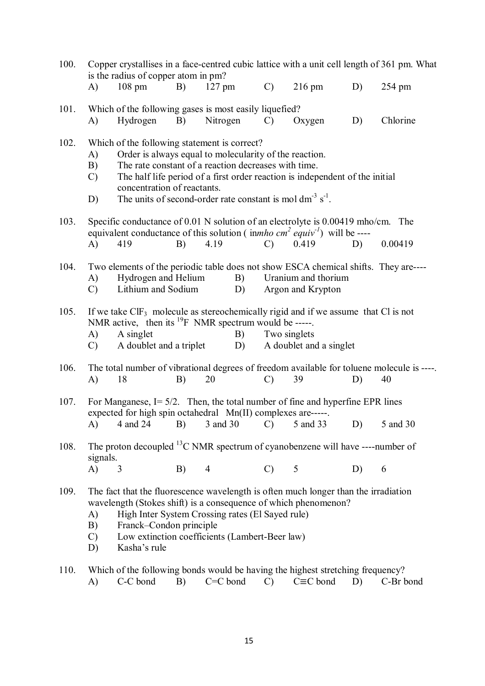| 100. |                                 | is the radius of copper atom in pm?                                                                                                                                                                  |            |                                                                                                                                                                              |               |                                                                              |    | Copper crystallises in a face-centred cubic lattice with a unit cell length of 361 pm. What      |
|------|---------------------------------|------------------------------------------------------------------------------------------------------------------------------------------------------------------------------------------------------|------------|------------------------------------------------------------------------------------------------------------------------------------------------------------------------------|---------------|------------------------------------------------------------------------------|----|--------------------------------------------------------------------------------------------------|
|      | A)                              | $108$ pm                                                                                                                                                                                             | B)         | $127$ pm                                                                                                                                                                     | $\mathcal{C}$ | $216$ pm                                                                     | D) | 254 pm                                                                                           |
| 101. | A)                              | Which of the following gases is most easily liquefied?<br>Hydrogen                                                                                                                                   | B)         | Nitrogen                                                                                                                                                                     | $\mathcal{C}$ | Oxygen                                                                       | D) | Chlorine                                                                                         |
| 102. | A)<br>B)<br>$\mathcal{C}$<br>D) | Which of the following statement is correct?<br>concentration of reactants.                                                                                                                          |            | Order is always equal to molecularity of the reaction.<br>The rate constant of a reaction decreases with time.<br>The units of second-order rate constant is mol $dm3 s-1$ . |               | The half life period of a first order reaction is independent of the initial |    |                                                                                                  |
| 103. | A)                              | Specific conductance of 0.01 N solution of an electrolyte is 0.00419 mho/cm. The<br>equivalent conductance of this solution ( $\lim_{h \to 0} \frac{c}{h}$ equiv <sup>-1</sup> ) will be ----<br>419 | B)         | 4.19                                                                                                                                                                         | $\mathcal{C}$ | 0.419                                                                        | D) | 0.00419                                                                                          |
| 104. | A)<br>$\mathcal{C}$             | Two elements of the periodic table does not show ESCA chemical shifts. They are----<br>Hydrogen and Helium<br>Lithium and Sodium                                                                     |            | B)<br>D)                                                                                                                                                                     |               | Uranium and thorium<br>Argon and Krypton                                     |    |                                                                                                  |
| 105. | A)<br>$\mathcal{C}$             | If we take $CIF_3$ molecule as stereochemically rigid and if we assume that Cl is not<br>NMR active, then its $^{19}$ F NMR spectrum would be -----.<br>A singlet<br>A doublet and a triplet         |            | B)<br>D)                                                                                                                                                                     |               | Two singlets<br>A doublet and a singlet                                      |    |                                                                                                  |
| 106. | A)                              | 18                                                                                                                                                                                                   | B)         | 20                                                                                                                                                                           | $\mathcal{C}$ | 39                                                                           | D) | The total number of vibrational degrees of freedom available for toluene molecule is ----.<br>40 |
| 107. | A)                              | For Manganese, $I = 5/2$ . Then, the total number of fine and hyperfine EPR lines<br>expected for high spin octahedral Mn(II) complexes are-----.<br>4 and 24                                        | <b>B</b> ) | 3 and 30                                                                                                                                                                     |               | $(C)$ 5 and 33                                                               | D) | 5 and 30                                                                                         |
| 108. | signals.<br>A)                  | The proton decoupled $^{13}$ C NMR spectrum of cyanobenzene will have ----number of<br>3                                                                                                             | B)         | $\overline{4}$                                                                                                                                                               | C) 5          |                                                                              | D) | 6                                                                                                |
| 109. | A)<br>B)<br>$\mathcal{C}$<br>D) | The fact that the fluorescence wavelength is often much longer than the irradiation<br>wavelength (Stokes shift) is a consequence of which phenomenon?<br>Franck-Condon principle<br>Kasha's rule    |            | High Inter System Crossing rates (El Sayed rule)<br>Low extinction coefficients (Lambert-Beer law)                                                                           |               |                                                                              |    |                                                                                                  |
| 110. |                                 | Which of the following bonds would be having the highest stretching frequency?                                                                                                                       |            |                                                                                                                                                                              |               |                                                                              |    |                                                                                                  |

A) C-C bond B) C=C bond C) C≡C bond D) C-Br bond